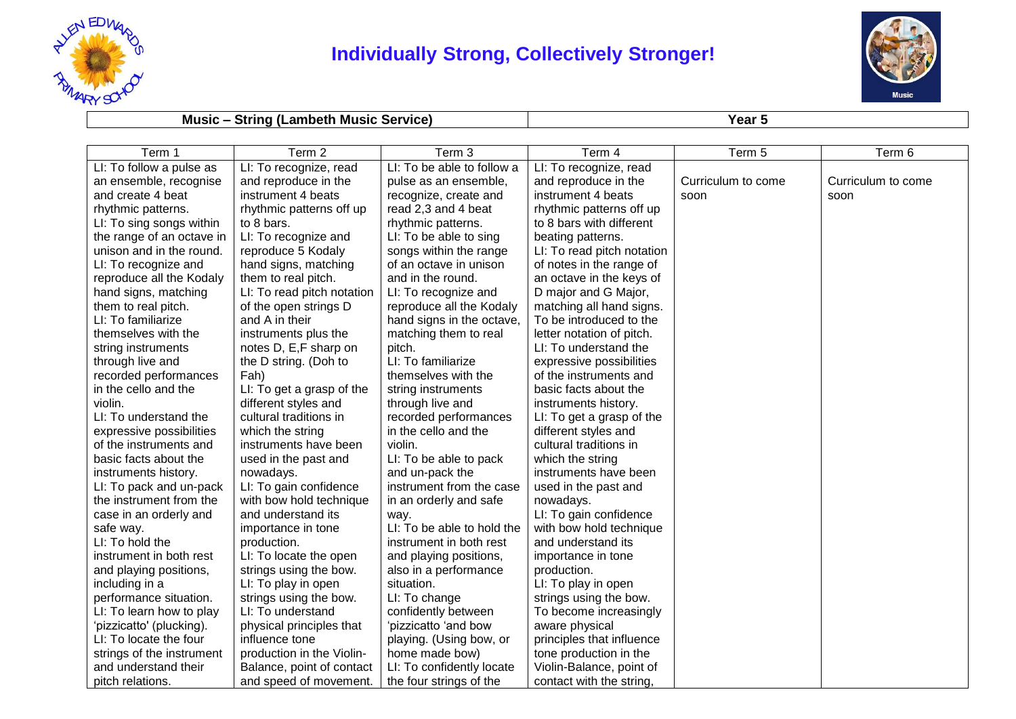

## **Individually Strong, Collectively Stronger!**



## **Music – String (Lambeth Music Service) Year 5**

| Term 1                    | Term 2                     | Term 3                     | Term 4                     | Term 5             | Term 6             |
|---------------------------|----------------------------|----------------------------|----------------------------|--------------------|--------------------|
| LI: To follow a pulse as  | LI: To recognize, read     | LI: To be able to follow a | LI: To recognize, read     |                    |                    |
| an ensemble, recognise    | and reproduce in the       | pulse as an ensemble,      | and reproduce in the       | Curriculum to come | Curriculum to come |
| and create 4 beat         | instrument 4 beats         | recognize, create and      | instrument 4 beats         | soon               | soon               |
| rhythmic patterns.        | rhythmic patterns off up   | read 2,3 and 4 beat        | rhythmic patterns off up   |                    |                    |
| LI: To sing songs within  | to 8 bars.                 | rhythmic patterns.         | to 8 bars with different   |                    |                    |
| the range of an octave in | LI: To recognize and       | LI: To be able to sing     | beating patterns.          |                    |                    |
| unison and in the round.  | reproduce 5 Kodaly         | songs within the range     | LI: To read pitch notation |                    |                    |
| LI: To recognize and      | hand signs, matching       | of an octave in unison     | of notes in the range of   |                    |                    |
| reproduce all the Kodaly  | them to real pitch.        | and in the round.          | an octave in the keys of   |                    |                    |
| hand signs, matching      | LI: To read pitch notation | LI: To recognize and       | D major and G Major,       |                    |                    |
| them to real pitch.       | of the open strings D      | reproduce all the Kodaly   | matching all hand signs.   |                    |                    |
| LI: To familiarize        | and A in their             | hand signs in the octave,  | To be introduced to the    |                    |                    |
| themselves with the       | instruments plus the       | matching them to real      | letter notation of pitch.  |                    |                    |
| string instruments        | notes D, E,F sharp on      | pitch.                     | LI: To understand the      |                    |                    |
| through live and          | the D string. (Doh to      | LI: To familiarize         | expressive possibilities   |                    |                    |
| recorded performances     | Fah)                       | themselves with the        | of the instruments and     |                    |                    |
| in the cello and the      | LI: To get a grasp of the  | string instruments         | basic facts about the      |                    |                    |
| violin.                   | different styles and       | through live and           | instruments history.       |                    |                    |
| LI: To understand the     | cultural traditions in     | recorded performances      | LI: To get a grasp of the  |                    |                    |
| expressive possibilities  | which the string           | in the cello and the       | different styles and       |                    |                    |
| of the instruments and    | instruments have been      | violin.                    | cultural traditions in     |                    |                    |
| basic facts about the     | used in the past and       | LI: To be able to pack     | which the string           |                    |                    |
| instruments history.      | nowadays.                  | and un-pack the            | instruments have been      |                    |                    |
| LI: To pack and un-pack   | LI: To gain confidence     | instrument from the case   | used in the past and       |                    |                    |
| the instrument from the   | with bow hold technique    | in an orderly and safe     | nowadays.                  |                    |                    |
| case in an orderly and    | and understand its         | way.                       | LI: To gain confidence     |                    |                    |
| safe way.                 | importance in tone         | LI: To be able to hold the | with bow hold technique    |                    |                    |
| LI: To hold the           | production.                | instrument in both rest    | and understand its         |                    |                    |
| instrument in both rest   | LI: To locate the open     | and playing positions,     | importance in tone         |                    |                    |
| and playing positions,    | strings using the bow.     | also in a performance      | production.                |                    |                    |
| including in a            | LI: To play in open        | situation.                 | LI: To play in open        |                    |                    |
| performance situation.    | strings using the bow.     | LI: To change              | strings using the bow.     |                    |                    |
| LI: To learn how to play  | LI: To understand          | confidently between        | To become increasingly     |                    |                    |
| 'pizzicatto' (plucking).  | physical principles that   | 'pizzicatto 'and bow       | aware physical             |                    |                    |
| LI: To locate the four    | influence tone             | playing. (Using bow, or    | principles that influence  |                    |                    |
| strings of the instrument | production in the Violin-  | home made bow)             | tone production in the     |                    |                    |
| and understand their      | Balance, point of contact  | LI: To confidently locate  | Violin-Balance, point of   |                    |                    |
| pitch relations.          | and speed of movement.     | the four strings of the    | contact with the string,   |                    |                    |